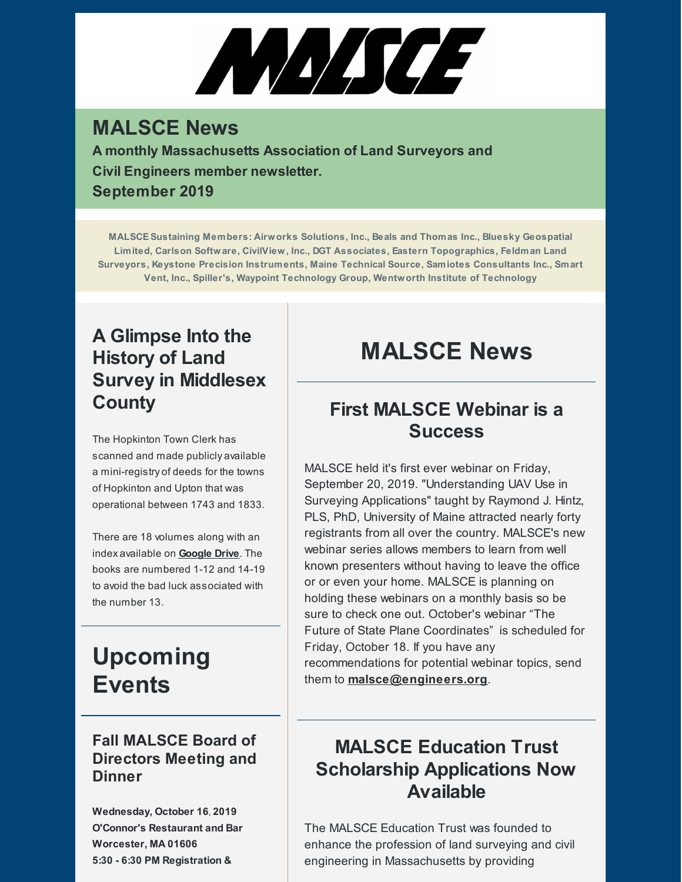# ANASCE

## **MALSCE News**

**A monthly Massachusetts Association of Land Surveyors and Civil Engineers member newsletter. September 2019**

**MALSCESustaining Members: Airworks Solutions, Inc., Beals and Thomas Inc., Bluesky Geospatial Limited, Carlson Software, CivilView, Inc., DGT Associates, Eastern Topographics, Feldman Land Surveyors, Keystone Precision Instruments, Maine Technical Source, Samiotes Consultants Inc., Smart Vent, Inc., Spiller's, Waypoint Technology Group, Wentworth Institute of Technology**

## **A Glimpse Into the History of Land Survey in Middlesex County**

The Hopkinton Town Clerk has scanned and made publicly available a mini-registry of deeds for the towns of Hopkinton and Upton that was operational between 1743 and 1833.

There are 18 volumes along with an index available on **[Google](https://drive.google.com/drive/folders/18hkogBKAYA1z8U05XR14VeGUCOZH7334) Drive**. The books are numbered 1-12 and 14-19 to avoid the bad luck associated with the number 13.

## **Upcoming Events**

#### **Fall MALSCE Board of Directors Meeting and Dinner**

**Wednesday, October 16, 2019 O'Connor's Restaurant and Bar Worcester, MA 01606 5:30 - 6:30 PM Registration &**

# **MALSCE News**

### **First MALSCE Webinar is a Success**

MALSCE held it's first ever webinar on Friday, September 20, 2019. "Understanding UAV Use in Surveying Applications" taught by Raymond J. Hintz, PLS, PhD, University of Maine attracted nearly forty registrants from all over the country. MALSCE's new webinar series allows members to learn from well known presenters without having to leave the office or or even your home. MALSCE is planning on holding these webinars on a monthly basis so be sure to check one out. October's webinar "The Future of State Plane Coordinates" is scheduled for Friday, October 18. If you have any recommendations for potential webinar topics, send them to **[malsce@engineers.org](mailto:malsce@engineers.org)**.

## **MALSCE Education Trust Scholarship Applications Now Available**

The MALSCE Education Trust was founded to enhance the profession of land surveying and civil engineering in Massachusetts by providing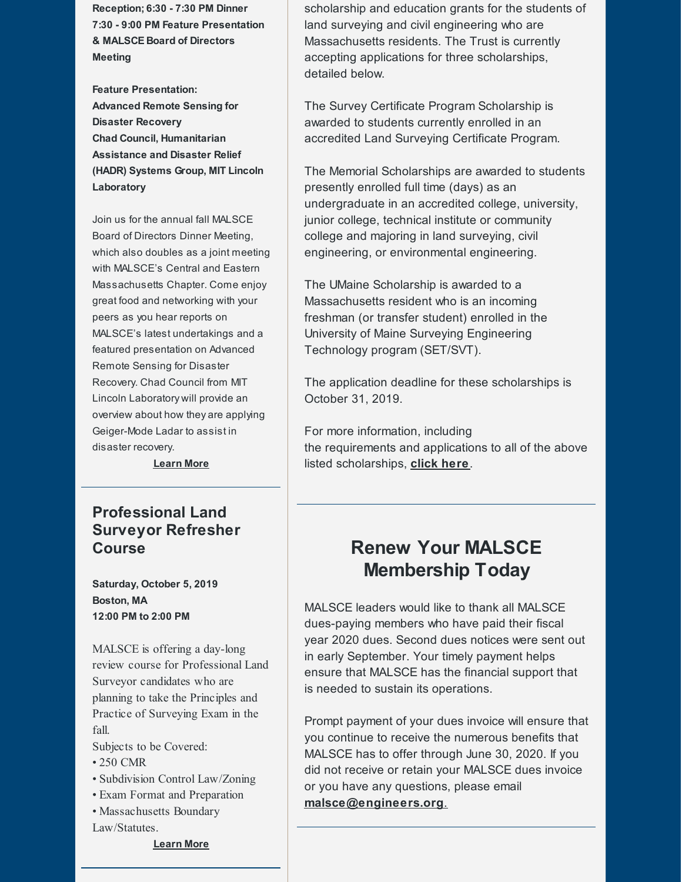**Reception; 6:30 - 7:30 PM Dinner 7:30 - 9:00 PM Feature Presentation & MALSCE Board of Directors Meeting**

**Feature Presentation: Advanced Remote Sensing for Disaster Recovery Chad Council, Humanitarian Assistance and Disaster Relief (HADR) Systems Group, MIT Lincoln Laboratory**

Join us for the annual fall MALSCE Board of Directors Dinner Meeting, which also doubles as a joint meeting with MALSCE's Central and Eastern Massachusetts Chapter. Come enjoy great food and networking with your peers as you hear reports on MALSCE's latest undertakings and a featured presentation on Advanced Remote Sensing for Disaster Recovery. Chad Council from MIT Lincoln Laboratory will provide an overview about how they are applying Geiger-Mode Ladar to assist in disaster recovery.

**[Learn](https://www.malsce.org/events/fall-malsce-board-of-directors-meeting-and-dinner-2694) More**

#### **Professional Land Surveyor Refresher Course**

**Saturday, October 5, 2019 Boston, MA 12:00 PM to 2:00 PM**

MALSCE is offering a day-long review course for Professional Land Surveyor candidates who are planning to take the Principles and Practice of Surveying Exam in the fall.

Subjects to be Covered:

- 250 CMR
- Subdivision Control Law/Zoning
- Exam Format and Preparation
- Massachusetts Boundary Law/Statutes.

**[Learn](https://www.malsce.org/events/pls-refresher-course-2659) More**

scholarship and education grants for the students of land surveying and civil engineering who are Massachusetts residents. The Trust is currently accepting applications for three scholarships, detailed below.

The Survey Certificate Program Scholarship is awarded to students currently enrolled in an accredited Land Surveying Certificate Program.

The Memorial Scholarships are awarded to students presently enrolled full time (days) as an undergraduate in an accredited college, university, junior college, technical institute or community college and majoring in land surveying, civil engineering, or environmental engineering.

The UMaine Scholarship is awarded to a Massachusetts resident who is an incoming freshman (or transfer student) enrolled in the University of Maine Surveying Engineering Technology program (SET/SVT).

The application deadline for these scholarships is October 31, 2019.

For more information, including the requirements and applications to all of the above listed scholarships, **click [here](https://www.malsce.org/news-publications/news/malsce-education-trust-offers-scholarships-apply-by-10-31-2019-2696)**.

#### **Renew Your MALSCE Membership Today**

MALSCE leaders would like to thank all MALSCE dues-paying members who have paid their fiscal year 2020 dues. Second dues notices were sent out in early September. Your timely payment helps ensure that MALSCE has the financial support that is needed to sustain its operations.

Prompt payment of your dues invoice will ensure that you continue to receive the numerous benefits that MALSCE has to offer through June 30, 2020. If you did not receive or retain your MALSCE dues invoice or you have any questions, please email **[malsce@engineers.org](mailto:malsce@engineers.org)**.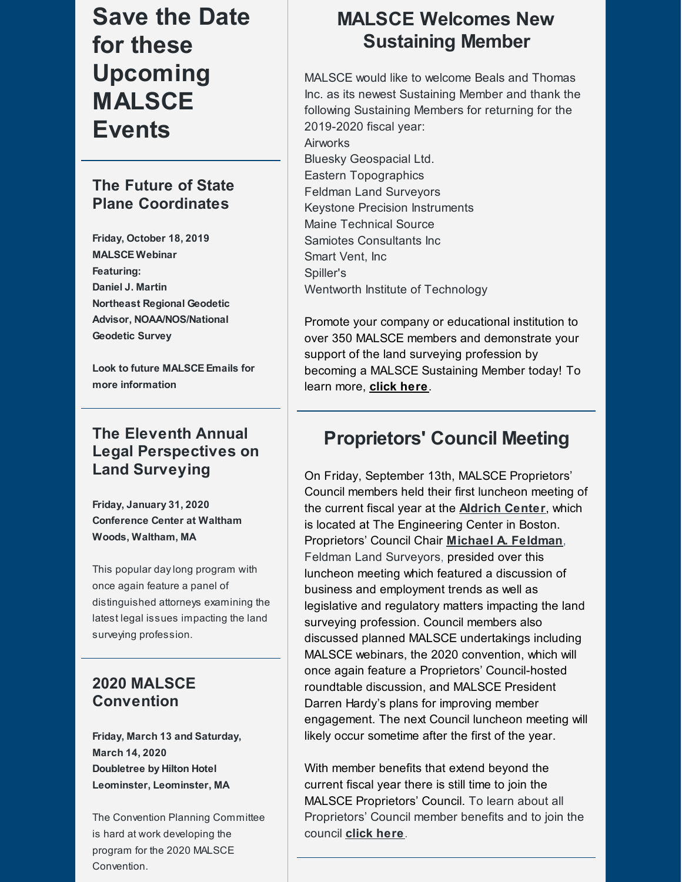# **Save the Date for these Upcoming MALSCE Events**

#### **The Future of State Plane Coordinates**

**Friday, October 18, 2019 MALSCE Webinar Featuring: Daniel J. Martin Northeast Regional Geodetic Advisor, NOAA/NOS/National Geodetic Survey**

**Look to future MALSCE Emails for more information**

#### **The Eleventh Annual Legal Perspectives on Land Surveying**

**Friday, January 31, 2020 Conference Center at Waltham Woods, Waltham, MA**

This popular daylong program with once again feature a panel of distinguished attorneys examining the latest legal issues impacting the land surveying profession.

#### **2020 MALSCE Convention**

**Friday, March 13 and Saturday, March 14, 2020 Doubletree by Hilton Hotel Leominster, Leominster, MA**

The Convention Planning Committee is hard at work developing the program for the 2020 MALSCE Convention.

## **MALSCE Welcomes New Sustaining Member**

MALSCE would like to welcome Beals and Thomas Inc. as its newest Sustaining Member and thank the following Sustaining Members for returning for the 2019-2020 fiscal year: Airworks

Bluesky Geospacial Ltd. Eastern Topographics Feldman Land Surveyors Keystone Precision Instruments Maine Technical Source Samiotes Consultants Inc Smart Vent, Inc Spiller's Wentworth Institute of Technology

Promote your company or educational institution to over 350 MALSCE members and demonstrate your support of the land surveying profession by becoming a MALSCE Sustaining Member today! To learn more, **click [here](http://files.engineers.org/file/2019-2020-Sustaining-Membership-Program-Announcement-894D.pdf)**.

## **Proprietors' Council Meeting**

On Friday, September 13th, MALSCE Proprietors' Council members held their first luncheon meeting of the current fiscal year at the **[Aldrich](http://www.aldrichcenter.org/) Center**, which is located at The Engineering Center in Boston. Proprietors' Council Chair **Michael A. [Feldman](mailto:mfeldman@feldmansurveyors.com)**, Feldman Land Surveyors, presided over this luncheon meeting which featured a discussion of business and employment trends as well as legislative and regulatory matters impacting the land surveying profession. Council members also discussed planned MALSCE undertakings including MALSCE webinars, the 2020 convention, which will once again feature a Proprietors' Council-hosted roundtable discussion, and MALSCE President Darren Hardy's plans for improving member engagement. The next Council luncheon meeting will likely occur sometime after the first of the year.

With member benefits that extend beyond the current fiscal year there is still time to join the MALSCE Proprietors' Council. To learn about all Proprietors' Council member benefits and to join the council **[click](https://www.malsce.org/membership/proprietors-council) here**.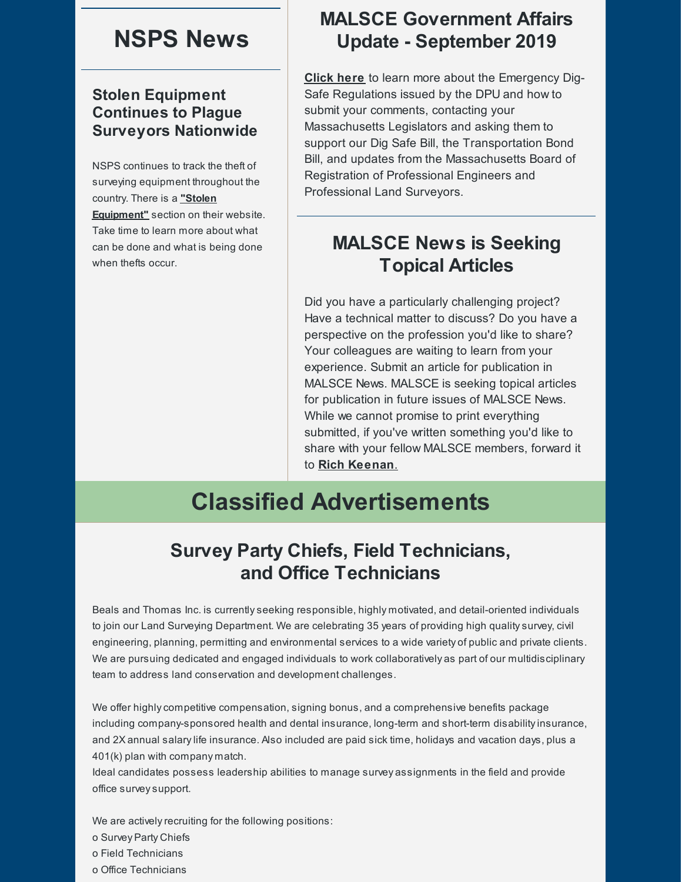## **NSPS News**

#### **Stolen Equipment Continues to Plague Surveyors Nationwide**

NSPS continues to track the theft of surveying equipment throughout the country. There is a **"Stolen [Equipment"](http:/)** section on their website. Take time to learn more about what can be done and what is being done when thefts occur.

### **MALSCE Government Affairs Update - September 2019**

**[Click](https://www.malsce.org/news-publications/news/malsce-government-affairs-update-august-2019-2637) here** to learn more about the Emergency Dig-Safe Regulations issued by the DPU and how to submit your comments, contacting your Massachusetts Legislators and asking them to support our Dig Safe Bill, the Transportation Bond Bill, and updates from the Massachusetts Board of Registration of Professional Engineers and Professional Land Surveyors.

## **MALSCE News is Seeking Topical Articles**

Did you have a particularly challenging project? Have a technical matter to discuss? Do you have a perspective on the profession you'd like to share? Your colleagues are waiting to learn from your experience. Submit an article for publication in MALSCE News. MALSCE is seeking topical articles for publication in future issues of MALSCE News. While we cannot promise to print everything submitted, if you've written something you'd like to share with your fellow MALSCE members, forward it to **Rich [Keenan](mailto:rkeenan@engineers.org)**.

# **Classified Advertisements**

#### **Survey Party Chiefs, Field Technicians, and Office Technicians**

Beals and Thomas Inc. is currentlyseeking responsible, highly motivated, and detail-oriented individuals to join our Land Surveying Department. We are celebrating 35 years of providing high qualitysurvey, civil engineering, planning, permitting and environmental services to a wide variety of public and private clients. We are pursuing dedicated and engaged individuals to work collaboratively as part of our multidisciplinary team to address land conservation and development challenges.

We offer highly competitive compensation, signing bonus, and a comprehensive benefits package including company-sponsored health and dental insurance, long-term and short-term disabilityinsurance, and 2X annual salarylife insurance. Also included are paid sick time, holidays and vacation days, plus a 401(k) plan with company match.

Ideal candidates possess leadership abilities to manage survey assignments in the field and provide office surveysupport.

We are actively recruiting for the following positions:

o Survey Party Chiefs

o Field Technicians

o Office Technicians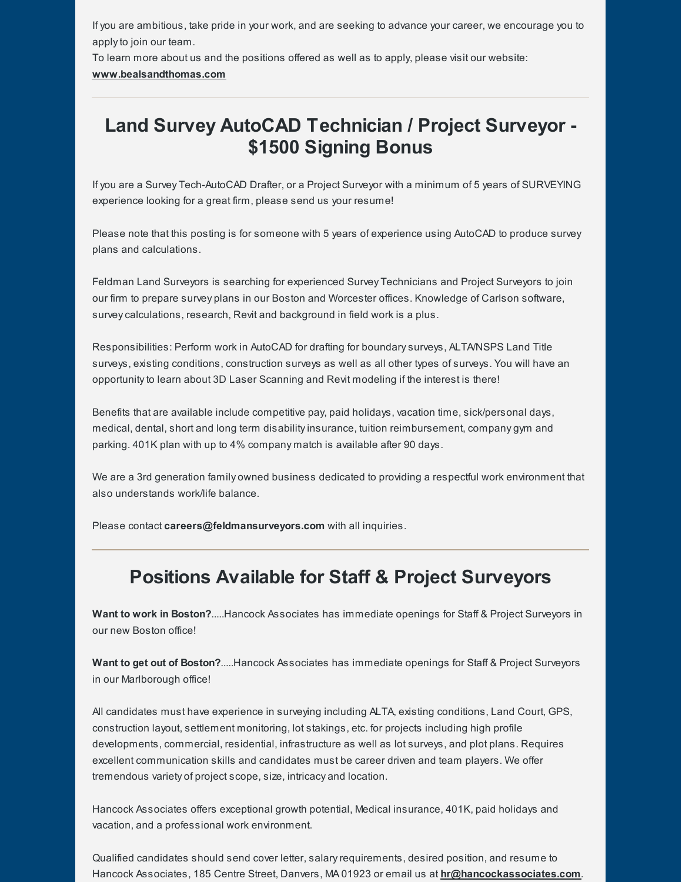If you are ambitious, take pride in your work, and are seeking to advance your career, we encourage you to applyto join our team.

To learn more about us and the positions offered as well as to apply, please visit our website:

#### **[www.bealsandthomas.com](http://www.bealsandthomas.com)**

## **Land Survey AutoCAD Technician / Project Surveyor - \$1500 Signing Bonus**

If you are a Survey Tech-AutoCAD Drafter, or a Project Surveyor with a minimum of 5 years of SURVEYING experience looking for a great firm, please send us your resume!

Please note that this posting is for someone with 5 years of experience using AutoCAD to produce survey plans and calculations.

Feldman Land Surveyors is searching for experienced Survey Technicians and Project Surveyors to join our firm to prepare survey plans in our Boston and Worcester offices. Knowledge of Carlson software, surveycalculations, research, Revit and background in field work is a plus.

Responsibilities: Perform work in AutoCAD for drafting for boundarysurveys, ALTA/NSPS Land Title surveys, existing conditions, construction surveys as well as all other types of surveys. You will have an opportunityto learn about 3D Laser Scanning and Revit modeling if the interest is there!

Benefits that are available include competitive pay, paid holidays, vacation time, sick/personal days, medical, dental, short and long term disabilityinsurance, tuition reimbursement, company gym and parking. 401K plan with up to 4% company match is available after 90 days.

We are a 3rd generation family owned business dedicated to providing a respectful work environment that also understands work/life balance.

Please contact **[careers@feldmansurveyors.com](mailto:careers@feldmansurveyors.com)** with all inquiries.

#### **Positions Available for Staff & Project Surveyors**

**Want to work in Boston?**.....Hancock Associates has immediate openings for Staff & Project Surveyors in our new Boston office!

**Want to get out of Boston?**.....Hancock Associates has immediate openings for Staff & Project Surveyors in our Marlborough office!

All candidates must have experience in surveying including ALTA, existing conditions, Land Court, GPS, construction layout, settlement monitoring, lot stakings, etc. for projects including high profile developments, commercial, residential, infrastructure as well as lot surveys, and plot plans. Requires excellent communication skills and candidates must be career driven and team players. We offer tremendous variety of project scope, size, intricacy and location.

Hancock Associates offers exceptional growth potential, Medical insurance, 401K, paid holidays and vacation, and a professional work environment.

Qualified candidates should send cover letter, salaryrequirements, desired position, and resume to Hancock Associates, 185 Centre Street, Danvers, MA 01923 or email us at **[hr@hancockassociates.com](mailto:hr@hancockassociates.com)**.